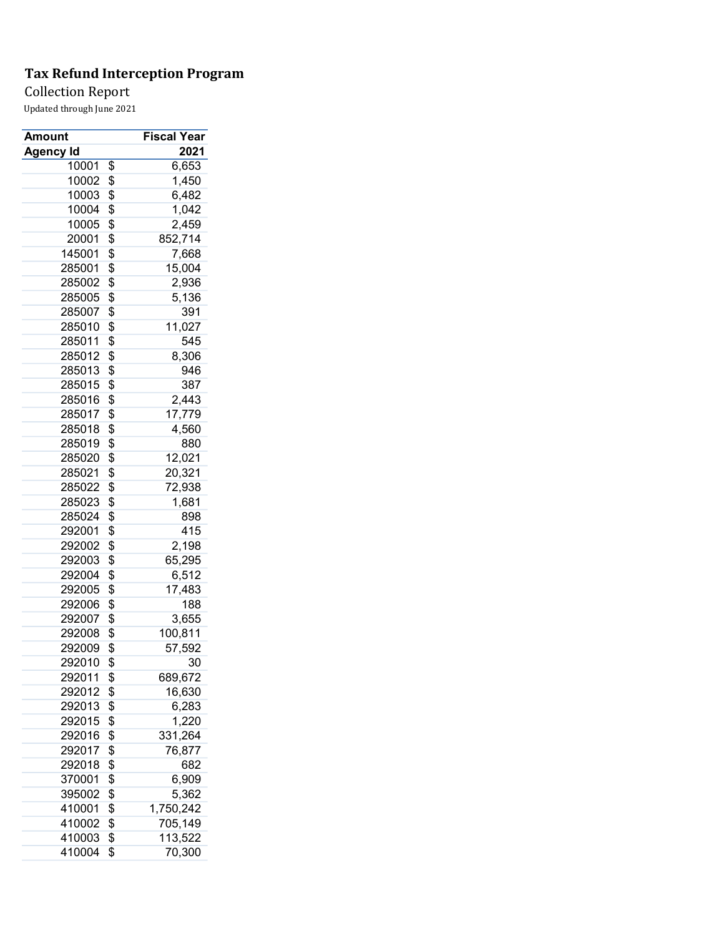## Collection Report

| Amount    | Fiscal Year     |
|-----------|-----------------|
| Agency Id | 2021            |
| 10001     | \$<br>6,653     |
| 10002     | \$<br>1,450     |
| 10003     | \$<br>6,482     |
| 10004     | \$<br>1,042     |
| 10005     | \$<br>2,459     |
| 20001     | \$<br>852,714   |
| 145001    | \$<br>7,668     |
| 285001    | \$<br>15,004    |
| 285002    | \$<br>2,936     |
| 285005    | \$<br>5,136     |
| 285007    | \$<br>391       |
| 285010    | \$<br>11,027    |
| 285011    | \$<br>545       |
| 285012    | \$<br>8,306     |
| 285013    | \$<br>946       |
| 285015    | \$<br>387       |
| 285016    | \$<br>2,443     |
| 285017    | \$<br>17,779    |
| 285018    | \$<br>4,560     |
| 285019    | \$<br>880       |
| 285020    | \$<br>12,021    |
| 285021    | \$<br>20,321    |
|           |                 |
| 285022    | \$<br>72,938    |
| 285023    | \$<br>1,681     |
| 285024    | \$<br>898       |
| 292001    | \$<br>415       |
| 292002    | \$<br>2,198     |
| 292003    | \$<br>65,295    |
| 292004    | \$<br>6,512     |
| 292005    | \$<br>17,483    |
| 292006    | \$<br>188       |
| 292007    | \$<br>3,655     |
| 292008    | \$<br>100,811   |
| 292009    | \$<br>57,592    |
| 292010    | \$<br>30        |
| 292011    | \$<br>689,672   |
| 292012    | \$<br>16,630    |
| 292013    | \$<br>6,283     |
| 292015    | \$<br>1,220     |
| 292016    | \$<br>331,264   |
| 292017    | \$<br>76,877    |
| 292018    | \$<br>682       |
| 370001    | \$<br>6,909     |
| 395002    | \$<br>5,362     |
| 410001    | \$<br>1,750,242 |
| 410002    | \$<br>705,149   |
| 410003    | \$<br>113,522   |
| 410004    | \$<br>70,300    |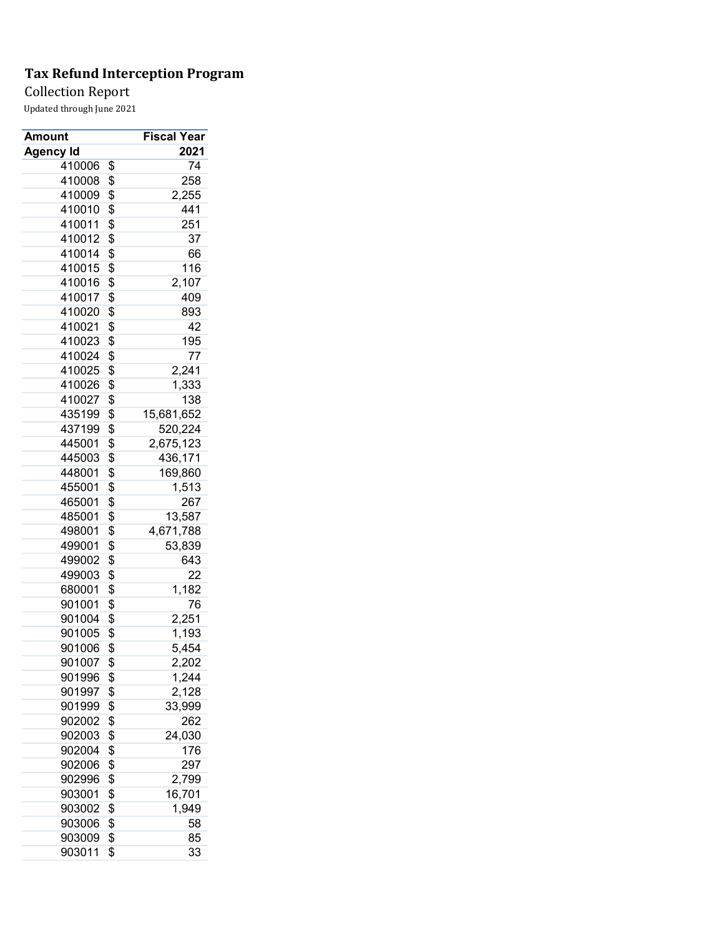Collection Report

| Amount           | <b>Fiscal Year</b> |
|------------------|--------------------|
| <b>Agency Id</b> | 2021               |
| 410006           | \$<br>74           |
| 410008           | \$<br>258          |
| 410009           | \$<br>2,255        |
| 410010           | \$<br>441          |
| 410011           | \$<br>251          |
| 410012           | \$<br>37           |
| 410014           | \$<br>66           |
| 410015           | \$<br>116          |
| 410016           | \$<br>2,107        |
| 410017           | \$<br>409          |
| 410020           | \$<br>893          |
| 410021           | \$<br>42           |
| 410023           | \$<br>195          |
| 410024           | \$<br>77           |
| 410025           | \$<br>2,241        |
| 410026           | \$<br>1,333        |
| 410027           | \$<br>138          |
| 435199           | \$<br>15,681,652   |
| 437199           | \$<br>520,224      |
| 445001           | \$<br>2,675,123    |
| 445003           | \$<br>436,171      |
| 448001           | \$<br>169,860      |
| 455001           | \$<br>1,513        |
| 465001           | \$<br>267          |
| 485001           | \$<br>13,587       |
| 498001           | \$<br>4,671,788    |
| 499001           | \$<br>53,839       |
| 499002           | \$<br>643          |
| 499003           | \$<br>22           |
| 680001           | \$<br>1,182        |
| 901001           | \$<br>76           |
| 901004           | \$<br>2,251        |
| 901005           | \$<br>1,193        |
| 901006           | \$<br>5,454        |
| 901007           | \$<br>2,202        |
| 901996           | \$<br>1,244        |
| 901997           | \$<br>2,128        |
| 901999           | \$<br>33,999       |
| 902002           | \$<br>262          |
| 902003           | \$<br>24,030       |
| 902004           | \$<br>176          |
|                  | \$<br>297          |
| 902006<br>902996 | 2,799              |
|                  | \$                 |
| 903001           | \$<br>16,701       |
| 903002           | \$<br>1,949        |
| 903006           | \$<br>58           |
| 903009           | \$<br>85           |
| 903011           | \$<br>33           |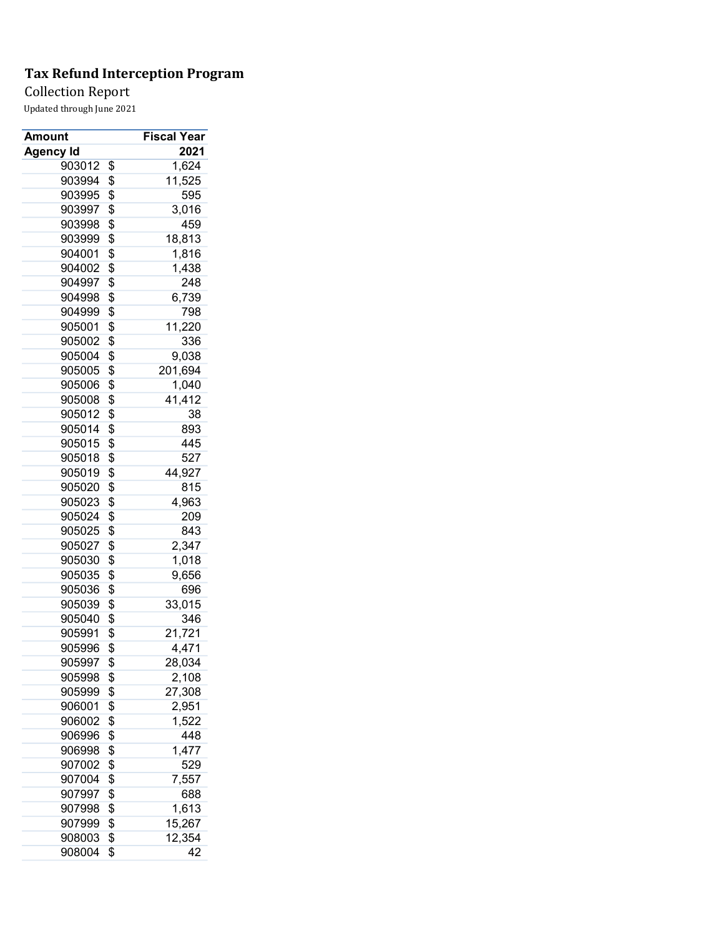Collection Report

| Amount           | <b>Fiscal Year</b> |
|------------------|--------------------|
| <b>Agency Id</b> | 2021               |
| 903012           | \$<br>1,624        |
| 903994           | \$<br>11,525       |
| 903995           | \$<br>595          |
| 903997           | \$<br>3,016        |
| 903998           | \$<br>459          |
| 903999           | \$<br>18,813       |
| 904001           | \$<br>1,816        |
| 904002           | \$<br>1,438        |
| 904997           | \$<br>248          |
| 904998           | \$<br>6,739        |
| 904999           | \$<br>798          |
| 905001           | \$<br>11,220       |
| 905002           | \$<br>336          |
| 905004           | \$<br>9,038        |
| 905005           | \$<br>201,694      |
| 905006           | \$<br>1,040        |
| 905008           | \$<br>41,412       |
| 905012           | \$<br>38           |
| 905014           | \$<br>893          |
| 905015           | \$<br>445          |
| 905018           | \$<br>527          |
| 905019           | \$<br>44,927       |
| 905020           | \$<br>815          |
| 905023           | \$<br>4,963        |
| 905024           | \$<br>209          |
| 905025           | \$<br>843          |
| 905027           | \$<br>2,347        |
| 905030           | \$<br>1,018        |
| 905035           | \$<br>9,656        |
| 905036           | \$<br>696          |
| 905039           | \$<br>33,015       |
| 905040           | \$<br>346          |
| 905991           | \$<br>21,721       |
| 905996           | \$<br>4,471        |
| 905997           | \$<br>28,034       |
| 905998           | \$<br>2,108        |
| 905999           | \$<br>27,308       |
| 906001           | \$<br>2,951        |
| 906002           | \$<br>1,522        |
| 906996           | \$<br>448          |
| 906998           | \$<br>1,477        |
| 907002           | \$<br>529          |
| 907004           | \$<br>7,557        |
| 907997           | \$<br>688          |
| 907998           | \$<br>1,613        |
| 907999           | \$<br>15,267       |
| 908003           | \$<br>12,354       |
| 908004           | \$<br>42           |
|                  |                    |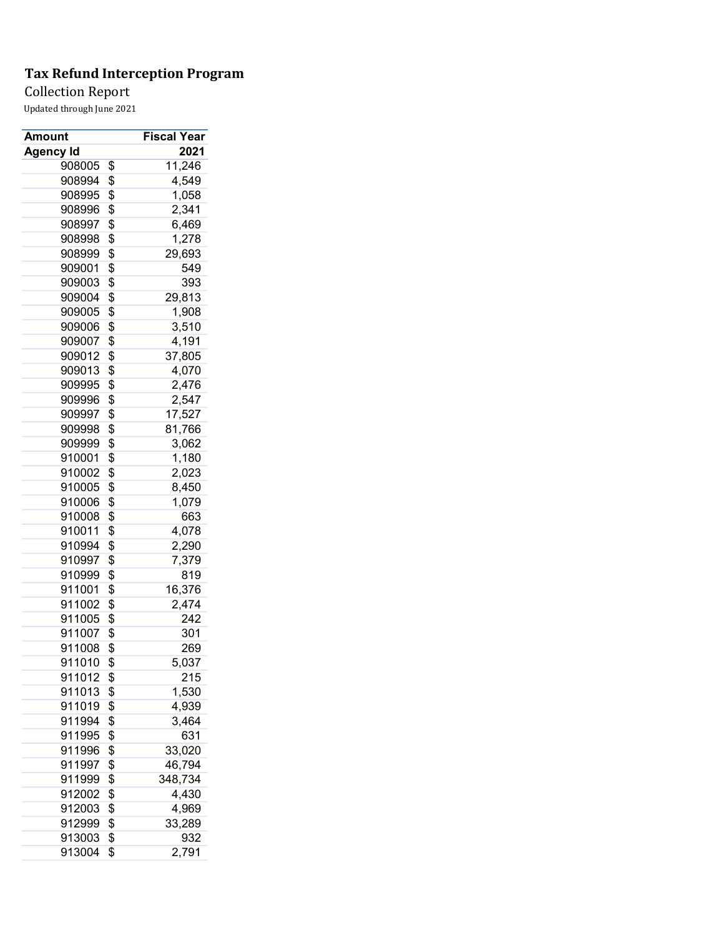Collection Report

| Amount           | <b>Fiscal Year</b> |
|------------------|--------------------|
| <b>Agency Id</b> | 2021               |
| 908005           | \$<br>11,246       |
| 908994           | \$<br>4,549        |
| 908995           | \$<br>1,058        |
| 908996           | \$<br>2,341        |
| 908997           | \$<br>6,469        |
| 908998           | \$<br>1,278        |
| 908999           | \$<br>29,693       |
| 909001           | \$<br>549          |
| 909003           | \$<br>393          |
| 909004           | \$<br>29,813       |
| 909005           | \$<br>1,908        |
| 909006           | \$<br>3,510        |
| 909007           | \$<br>4,191        |
| 909012           | \$<br>37,805       |
| 909013           | \$<br>4,070        |
| 909995           | \$<br>2,476        |
| 909996           | \$<br>2,547        |
| 909997           | \$<br>17,527       |
| 909998           | \$<br>81,766       |
| 909999           | \$<br>3,062        |
| 910001           | \$<br>1,180        |
| 910002           | \$<br>2,023        |
| 910005           | \$<br>8,450        |
| 910006           | \$<br>1,079        |
| 910008           | \$<br>663          |
| 910011           | \$<br>4,078        |
| 910994           | \$<br>2,290        |
| 910997           | \$<br>7,379        |
| 910999           | \$<br>819          |
| 911001           | \$<br>16,376       |
| 911002           | \$<br>2,474        |
| 911005           | \$<br>242          |
| 911007           | \$<br>301          |
| 911008           | \$<br>269          |
| 911010           | \$<br>5,037        |
| 911012           | \$<br>215          |
| 911013           | \$<br>1,530        |
| 911019           | \$<br>4,939        |
| 911994           | \$<br>3,464        |
| 911995           | \$<br>631          |
| 911996           | \$<br>33,020       |
| 911997           | \$<br>46,794       |
| 911999           | \$<br>348,734      |
| 912002           | \$<br>4,430        |
| 912003           | \$<br>4,969        |
| 912999           | \$<br>33,289       |
| 913003           | \$<br>932          |
| 913004           | \$<br>2,791        |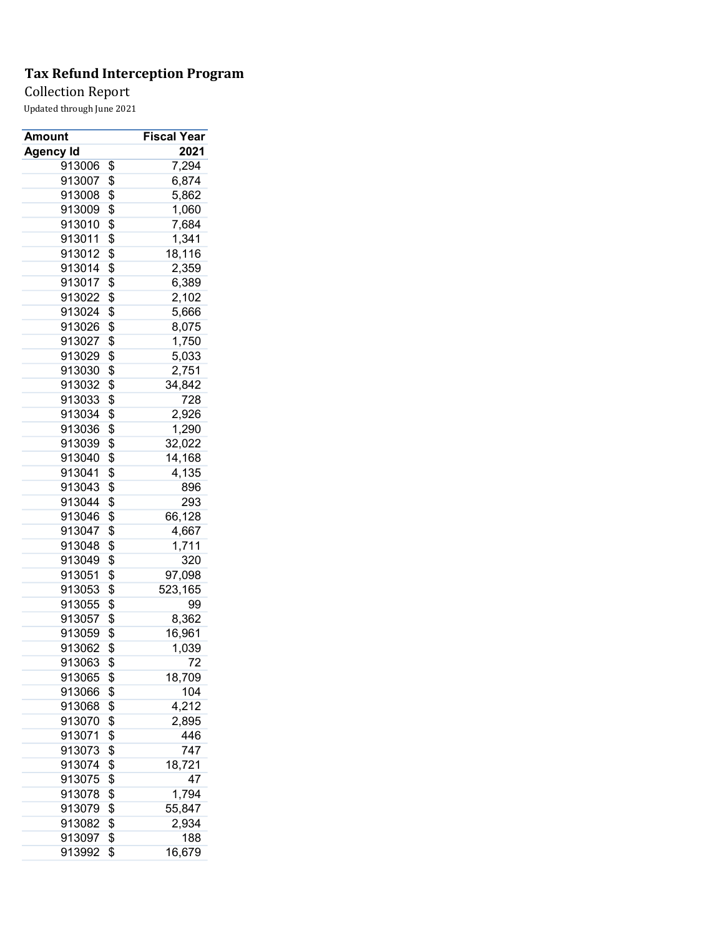Collection Report

| Amount           | Fiscal Year   |
|------------------|---------------|
| <b>Agency Id</b> | 2021          |
| 913006           | \$<br>7,294   |
| 913007           | \$<br>6,874   |
| 913008           | \$<br>5,862   |
| 913009           | \$<br>1,060   |
| 913010           | \$<br>7,684   |
| 913011           | \$<br>1,341   |
| 913012           | \$<br>18,116  |
| 913014           | \$<br>2,359   |
| 913017           | \$<br>6,389   |
| 913022           | \$<br>2,102   |
| 913024           | \$<br>5,666   |
| 913026           | \$<br>8,075   |
| 913027           | \$<br>1,750   |
| 913029           | \$<br>5,033   |
| 913030           | \$<br>2,751   |
| 913032           | \$<br>34,842  |
| 913033           | \$<br>728     |
| 913034           | \$<br>2,926   |
| 913036           | \$<br>1,290   |
| 913039           | \$<br>32,022  |
| 913040           | \$<br>14,168  |
| 913041           | \$<br>4,135   |
| 913043           | \$<br>896     |
| 913044           | \$<br>293     |
| 913046           | \$<br>66,128  |
| 913047           | \$<br>4,667   |
| 913048           | \$<br>1,711   |
| 913049           | \$<br>320     |
| 913051           | \$<br>97,098  |
| 913053           | \$<br>523,165 |
| 913055           | \$<br>99      |
| 913057           | \$<br>8,362   |
| 913059           | \$<br>16,961  |
| 913062           | \$<br>1,039   |
| 913063           | \$<br>72      |
| 913065           | \$<br>18,709  |
| 913066           | \$<br>104     |
| 913068           | \$<br>4,212   |
| 913070           | \$<br>2,895   |
| 913071           | \$<br>446     |
| 913073           | \$<br>747     |
| 913074           | \$<br>18,721  |
| 913075           | \$<br>47      |
| 913078           | \$<br>1,794   |
| 913079           | \$<br>55,847  |
| 913082           | \$<br>2,934   |
| 913097           | \$<br>188     |
| 913992           | \$<br>16,679  |
|                  |               |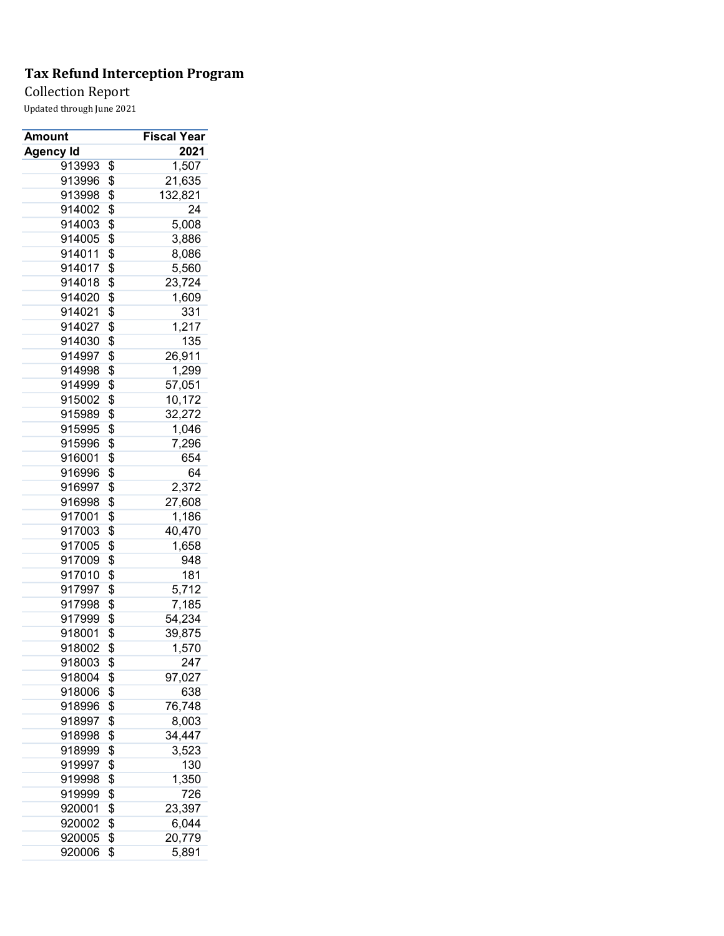Collection Report

| Amount           | <b>Fiscal Year</b> |
|------------------|--------------------|
| <b>Agency Id</b> | 2021               |
| 913993           | \$<br>1,507        |
| 913996           | \$<br>21,635       |
| 913998           | \$<br>132,821      |
| 914002           | \$<br>24           |
| 914003           | \$<br>5,008        |
| 914005           | \$<br>3,886        |
| 914011           | \$<br>8,086        |
| 914017           | \$<br>5,560        |
| 914018           | \$<br>23,724       |
| 914020           | \$<br>1,609        |
| 914021           | \$<br>331          |
| 914027           | \$<br>1,217        |
| 914030           | \$<br>135          |
| 914997           | \$<br>26,911       |
| 914998           | \$<br>1,299        |
| 914999           | \$<br>57,051       |
| 915002           | \$<br>10,172       |
| 915989           | \$<br>32,272       |
| 915995           | \$<br>1,046        |
| 915996           | \$<br>7,296        |
| 916001           | \$<br>654          |
| 916996           | \$<br>64           |
| 916997           | \$<br>2,372        |
| 916998           | \$<br>27,608       |
| 917001           | \$<br>1,186        |
| 917003           | \$<br>40,470       |
| 917005           | \$<br>1,658        |
| 917009           | \$<br>948          |
| 917010           | \$<br>181          |
| 917997           | \$<br>5,712        |
| 917998           | \$<br>7,185        |
| 917999           | \$<br>54,234       |
| 918001           | \$<br>39,875       |
| 918002           | \$<br>1,570        |
| 918003           | \$<br>247          |
| 918004           | \$<br>97,027       |
| 918006           | \$<br>638          |
| 918996           | \$<br>76,748       |
| 918997           | \$<br>8,003        |
| 918998           | \$<br>34,447       |
| 918999           | \$<br>3,523        |
| 919997           | \$<br>130          |
| 919998           | \$<br>1,350        |
| 919999           | \$<br>726          |
| 920001           | \$<br>23,397       |
| 920002           | \$<br>6,044        |
| 920005           | \$<br>20,779       |
| 920006           | \$<br>5,891        |
|                  |                    |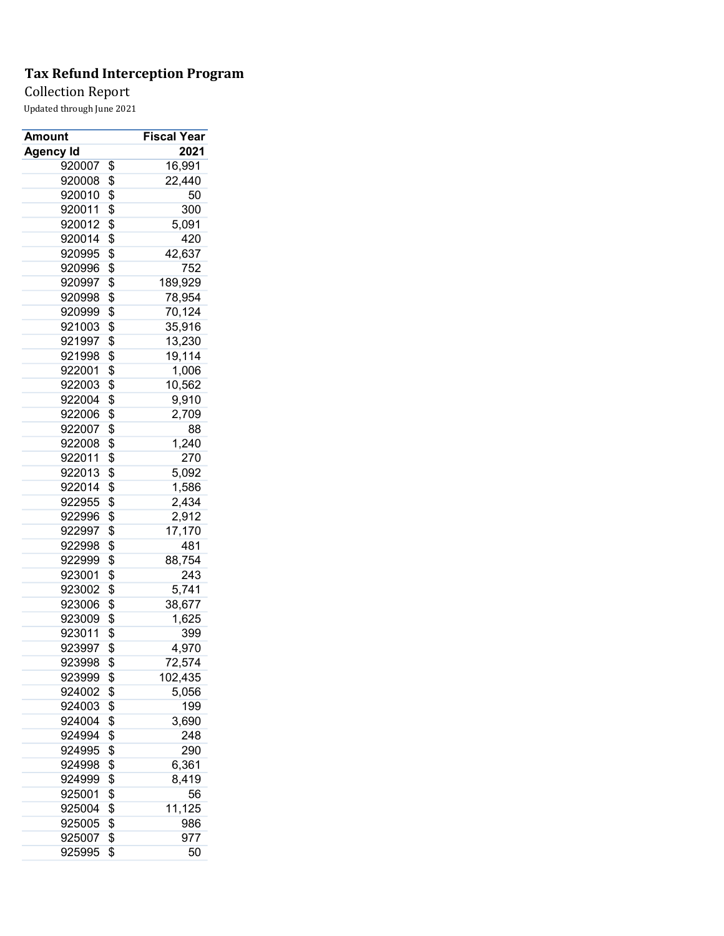## Collection Report

| Amount           | <b>Fiscal Year</b> |
|------------------|--------------------|
| <b>Agency Id</b> | 2021               |
| 920007           | \$<br>16,991       |
| 920008           | \$<br>22,440       |
| 920010           | \$<br>50           |
| 920011           | \$<br>300          |
| 920012           | \$<br>5,091        |
| 920014           | \$<br>420          |
| 920995           | \$<br>42,637       |
| 920996           | \$<br>752          |
| 920997           | \$<br>189,929      |
| 920998           | \$<br>78,954       |
| 920999           | \$<br>70,124       |
| 921003           | \$<br>35,916       |
| 921997           | \$<br>13,230       |
| 921998           | \$<br>19,114       |
| 922001           | \$<br>1,006        |
| 922003           | \$<br>10,562       |
| 922004           | \$<br>9,910        |
| 922006           | \$<br>2,709        |
| 922007           | \$<br>88           |
| 922008           | \$<br>1,240        |
| 922011           | \$<br>270          |
| 922013           | \$<br>5,092        |
| 922014           | \$<br>1,586        |
| 922955           | \$<br>2,434        |
| 922996           | \$<br>2,912        |
| 922997           | \$<br>17,170       |
| 922998           | \$<br>481          |
| 922999           | \$<br>88,754       |
| 923001           | \$<br>243          |
| 923002           | \$<br>5,741        |
| 923006           |                    |
|                  | \$<br>38,677       |
| 923009           | \$<br>1,625        |
| 923011           | \$<br>399          |
| 923997           | \$<br>4,970        |
| 923998           | \$<br>72,574       |
| 923999           | \$<br>102,435      |
| 924002           | \$<br>5,056        |
| 924003           | \$<br>199          |
| 924004           | \$<br>3,690        |
| 924994           | \$<br>248          |
| 924995           | \$<br>290          |
| 924998           | \$<br>6,361        |
| 924999           | \$<br>8,419        |
| 925001           | \$<br>56           |
| 925004           | \$<br>11,125       |
| 925005           | \$<br>986          |
| 925007           | \$<br>977          |
| 925995           | \$<br>50           |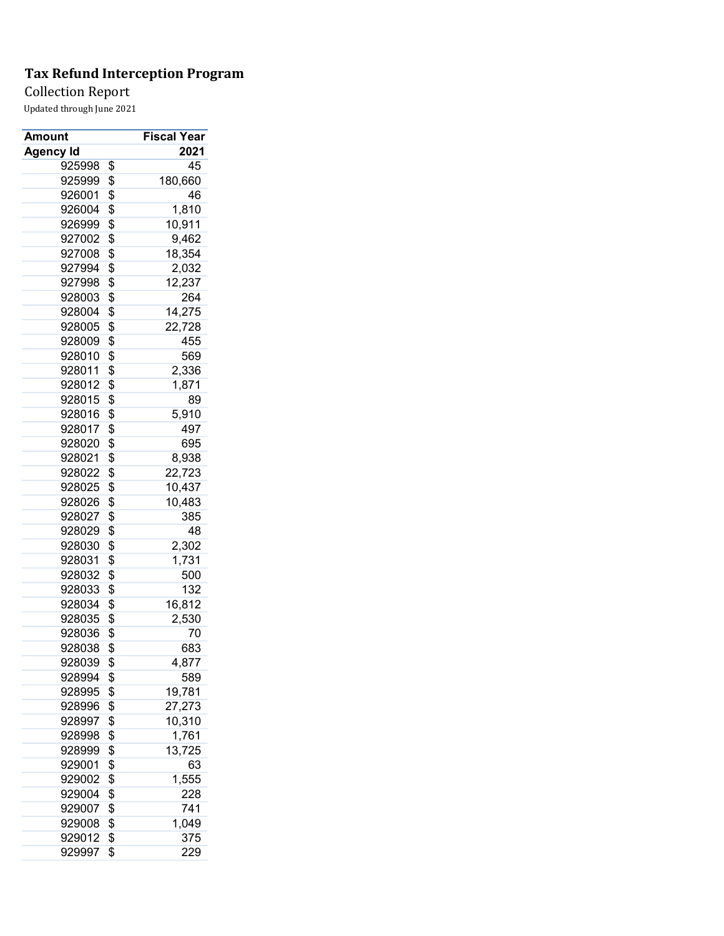Collection Report

| Amount           | <b>Fiscal Year</b> |
|------------------|--------------------|
| <b>Agency Id</b> | 2021               |
| 925998           | \$<br>45           |
| 925999           | \$<br>180,660      |
| 926001           | \$<br>46           |
| 926004           | \$<br>1,810        |
| 926999           | \$<br>10,911       |
| 927002           | \$<br>9,462        |
| 927008           | \$<br>18,354       |
| 927994           | \$<br>2,032        |
| 927998           | \$<br>12,237       |
| 928003           | \$<br>264          |
| 928004           | \$<br>14,275       |
| 928005           | \$<br>22,728       |
| 928009           | \$<br>455          |
| 928010           | \$<br>569          |
| 928011           | \$<br>2,336        |
| 928012           | \$<br>1,871        |
| 928015           | \$<br>89           |
| 928016           | \$<br>5,910        |
| 928017           | \$<br>497          |
| 928020           | \$<br>695          |
| 928021           | \$<br>8,938        |
| 928022           | \$<br>22,723       |
| 928025           | \$<br>10,437       |
| 928026           | \$<br>10,483       |
| 928027           | \$<br>385          |
| 928029           | \$<br>48           |
| 928030           | \$<br>2,302        |
| 928031           | \$<br>1,731        |
| 928032           | \$<br>500          |
| 928033           | \$<br>132          |
| 928034           | \$<br>16,812       |
| 928035           | \$<br>2,530        |
| 928036           | \$<br>70           |
| 928038           | \$<br>683          |
| 928039           | \$<br>4,877        |
| 928994           | \$<br>589          |
| 928995           | \$<br>19,781       |
| 928996           | \$<br>27,273       |
| 928997           | \$<br>10,310       |
| 928998           | \$<br>1,761        |
| 928999           | \$<br>13,725       |
| 929001           | \$<br>63           |
| 929002           | \$<br>1,555        |
| 929004           | \$<br>228          |
| 929007           | \$<br>741          |
| 929008           | \$<br>1,049        |
| 929012           | \$<br>375          |
| 929997           | \$<br>229          |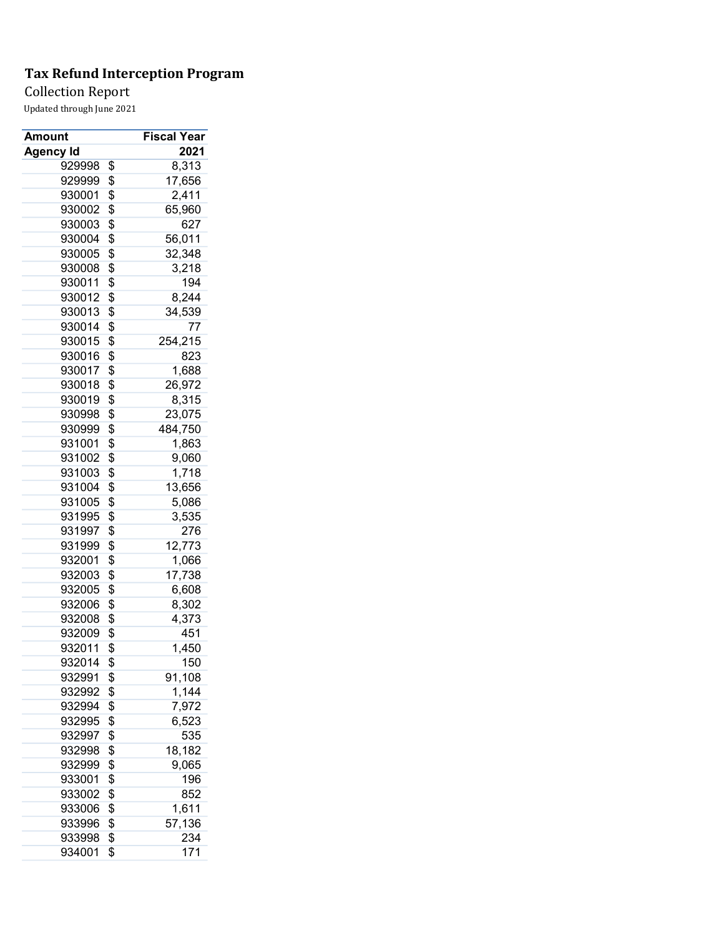## Collection Report

| Amount           | <b>Fiscal Year</b> |
|------------------|--------------------|
| <b>Agency Id</b> | 2021               |
| 929998           | \$<br>8,313        |
| 929999           | \$<br>17,656       |
| 930001           | \$<br>2,411        |
| 930002           | \$<br>65,960       |
| 930003           | \$<br>627          |
| 930004           | \$<br>56,011       |
| 930005           | \$<br>32,348       |
| 930008           | \$<br>3,218        |
| 930011           | \$<br>194          |
| 930012           | \$<br>8,244        |
| 930013           | \$<br>34,539       |
| 930014           | \$<br>77           |
| 930015           | \$<br>254,215      |
| 930016           | \$<br>823          |
| 930017           | \$<br>1,688        |
| 930018           | \$<br>26,972       |
| 930019           | \$<br>8,315        |
| 930998           | \$<br>23,075       |
| 930999           | \$<br>484,750      |
| 931001           | \$<br>1,863        |
| 931002           | \$<br>9,060        |
| 931003           | \$<br>1,718        |
| 931004           | \$<br>13,656       |
| 931005           | \$                 |
| 931995           | \$<br>5,086        |
|                  | 3,535              |
| 931997           | \$<br>276          |
| 931999           | \$<br>12,773       |
| 932001           | \$<br>1,066        |
| 932003           | \$<br>17,738       |
| 932005           | \$<br>6,608        |
| 932006           | \$<br>8,302        |
| 932008           | \$<br>4,373        |
| 932009           | \$<br>451          |
| 932011           | \$<br>1,450        |
| 932014           | \$<br>150          |
| 932991           | \$<br>91,108       |
| 932992           | \$<br>1,144        |
| 932994           | \$<br>7,972        |
| 932995           | \$<br>6,523        |
| 932997           | \$<br>535          |
| 932998           | \$<br>18,182       |
| 932999           | \$<br>9,065        |
| 933001           | \$<br>196          |
| 933002           | \$<br>852          |
| 933006           | \$<br>1,611        |
| 933996           | \$<br>57,136       |
| 933998           | \$<br>234          |
| 934001           | \$<br>171          |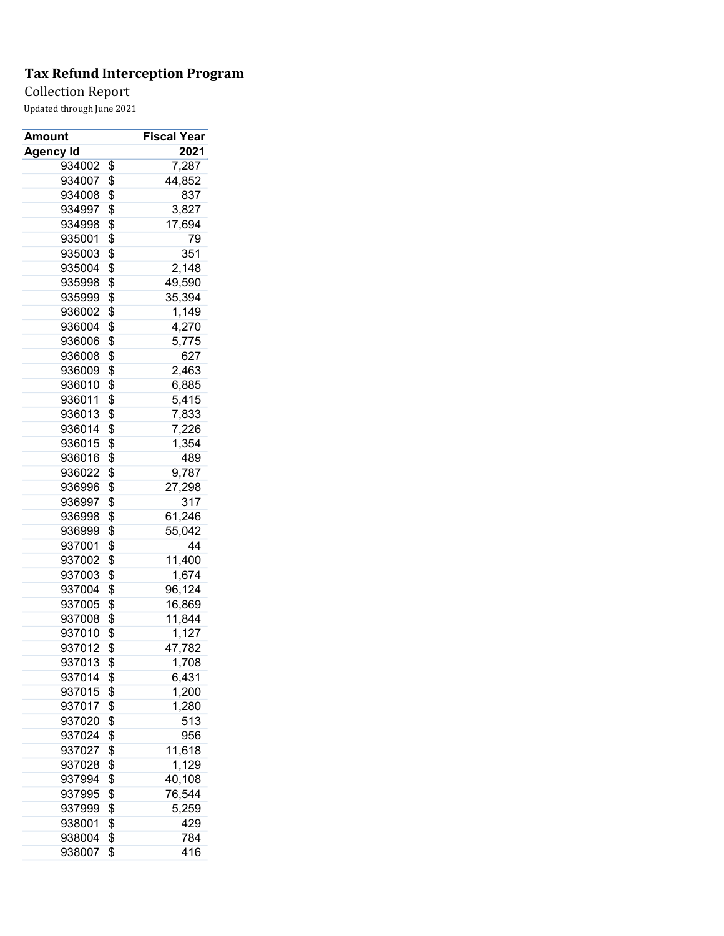Collection Report

| Amount           | <b>Fiscal Year</b> |
|------------------|--------------------|
| <b>Agency Id</b> | 2021               |
| 934002           | \$<br>7,287        |
| 934007           | \$<br>44,852       |
| 934008           | \$<br>837          |
| 934997           | \$<br>3,827        |
| 934998           | \$<br>17,694       |
| 935001           | \$<br>79           |
| 935003           | \$<br>351          |
| 935004           | \$<br>2,148        |
| 935998           | \$<br>49,590       |
| 935999           | \$<br>35,394       |
| 936002           | \$<br>1,149        |
| 936004           | \$<br>4,270        |
| 936006           | \$<br>5,775        |
| 936008           | \$<br>627          |
| 936009           | \$<br>2,463        |
| 936010           | \$<br>6,885        |
| 936011           | \$<br>5,415        |
| 936013           | \$<br>7,833        |
| 936014           | \$<br>7,226        |
| 936015           | \$<br>1,354        |
| 936016           | \$<br>489          |
| 936022           | \$<br>9,787        |
| 936996           | \$<br>27,298       |
| 936997           | \$<br>317          |
| 936998           | \$<br>61,246       |
| 936999           | \$<br>55,042       |
| 937001           | \$<br>44           |
| 937002           | \$<br>11,400       |
| 937003           | \$<br>1,674        |
| 937004           | \$<br>96,124       |
| 937005           | \$<br>16,869       |
| 937008           | \$<br>11,844       |
| 937010           | \$<br>1,127        |
| 937012           | \$<br>47,782       |
| 937013           | \$<br>1,708        |
| 937014           | \$<br>6,431        |
| 937015           | \$<br>1,200        |
| 937017           | \$<br>1,280        |
| 937020           | \$<br>513          |
| 937024           | \$<br>956          |
| 937027           | \$<br>11,618       |
| 937028           | \$<br>1,129        |
| 937994           | \$<br>40,108       |
| 937995           | \$<br>76,544       |
| 937999           | \$<br>5,259        |
| 938001           | \$<br>429          |
| 938004           | \$<br>784          |
| 938007           | \$<br>416          |
|                  |                    |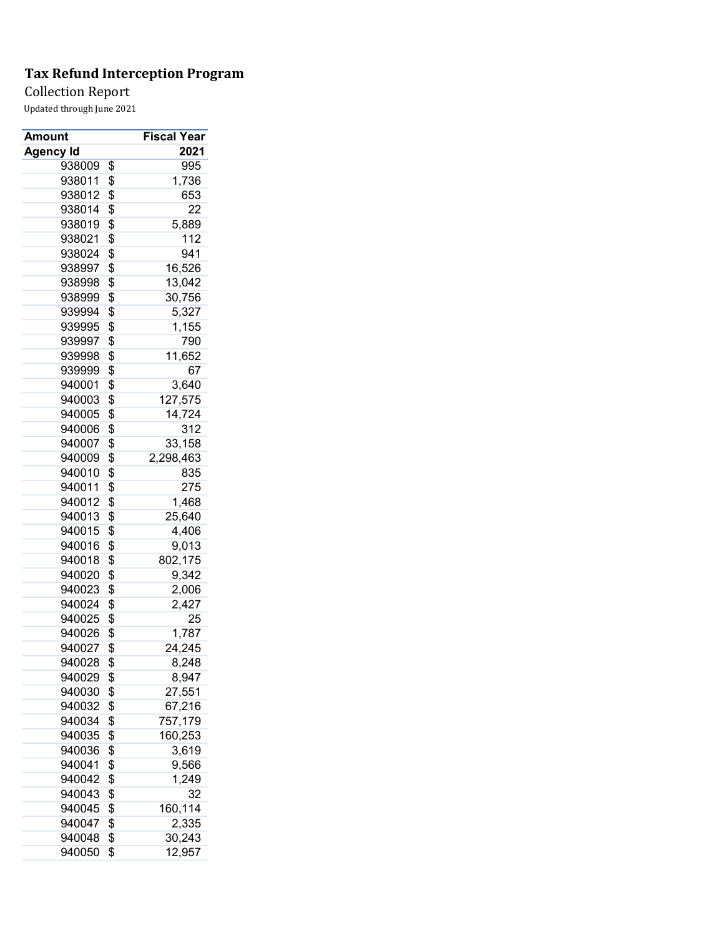Collection Report

| Amount           | Fiscal Year             |
|------------------|-------------------------|
| <b>Agency Id</b> | 2021                    |
| 938009           | \$<br>995               |
| 938011           | \$<br>1,736             |
| 938012           | \$<br>653               |
| 938014           | \$<br>22                |
| 938019           | \$<br>5,889             |
| 938021           | \$<br>112               |
| 938024           | \$<br>941               |
| 938997           | \$<br>16,526            |
| 938998           | \$<br>13,042            |
| 938999           | \$<br>30,756            |
| 939994           | \$<br>5,327             |
| 939995           | \$<br>1,155             |
| 939997           | \$<br>790               |
| 939998           | \$<br>11,652            |
| 939999           | \$<br>67                |
| 940001           | \$<br>3,640             |
| 940003           | \$<br>127,575           |
| 940005           | \$<br>14,724            |
| 940006           | \$<br>312               |
| 940007           | \$<br>33,158            |
| 940009           | \$<br>2,298,463         |
| 940010           | \$<br>835               |
| 940011           | \$<br>275               |
| 940012           | \$<br>1,468             |
| 940013           | \$<br>25,640            |
| 940015           | \$<br>4,406             |
| 940016           | \$<br>9,013             |
| 940018           | \$<br>802,175           |
| 940020           | \$<br>9,342             |
| 940023           | \$<br>2,006             |
| 940024           | \$<br>2,427             |
| 940025           | \$<br>25                |
| 940026           | \$<br>1,787             |
| 940027           | \$<br>24,245            |
| 940028           | \$<br>8,248             |
| 940029           | \$<br>8,947             |
| 940030           | \$<br>27,551            |
| 940032           | \$                      |
| 940034           | \$<br>67,216<br>757,179 |
| 940035           | \$<br>160,253           |
| 940036           | \$<br>3,619             |
| 940041           | \$<br>9,566             |
| 940042           | \$<br>1,249             |
|                  |                         |
| 940043           | \$<br>32                |
| 940045           | \$<br>160,114           |
| 940047           | \$<br>2,335             |
| 940048           | \$<br>30,243            |
| 940050           | \$<br>12,957            |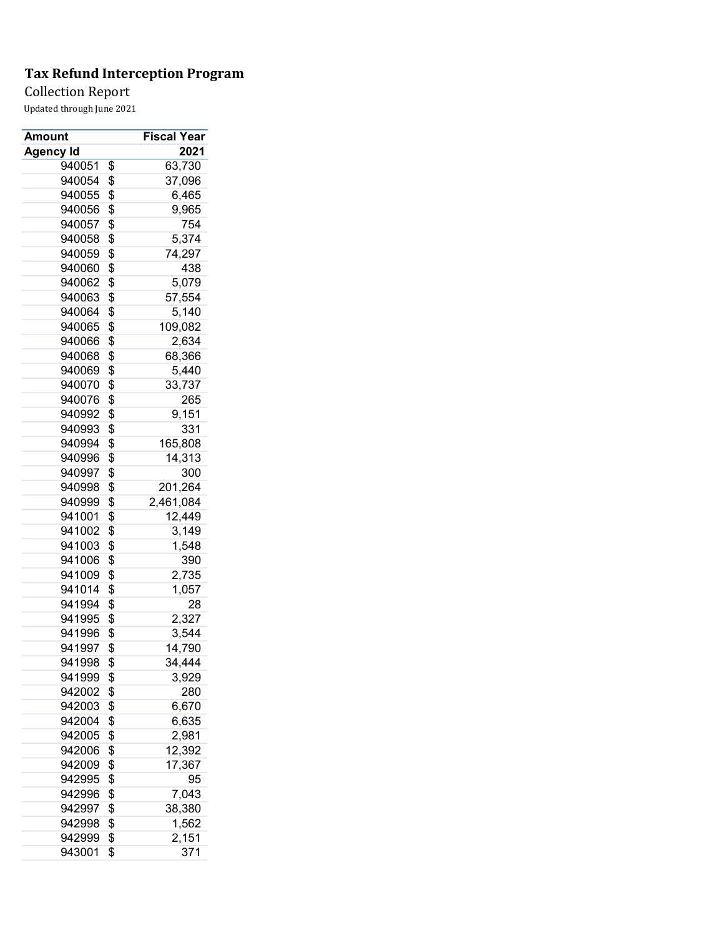## Collection Report

| Amount           | <b>Fiscal Year</b> |
|------------------|--------------------|
| <b>Agency Id</b> | 2021               |
| 940051           | \$<br>63,730       |
| 940054           | \$<br>37,096       |
| 940055           | \$<br>6,465        |
| 940056           | \$<br>9,965        |
| 940057           | \$<br>754          |
| 940058           | \$<br>5,374        |
| 940059           | \$<br>74,297       |
| 940060           | \$<br>438          |
| 940062           | \$<br>5,079        |
| 940063           | \$<br>57,554       |
| 940064           | \$<br>5,140        |
| 940065           | \$<br>109,082      |
| 940066           | \$<br>2,634        |
| 940068           | \$<br>68,366       |
| 940069           | \$<br>5,440        |
| 940070           | \$<br>33,737       |
| 940076           | \$<br>265          |
| 940992           | \$<br>9,151        |
| 940993           | \$<br>331          |
| 940994           | \$<br>165,808      |
| 940996           | \$<br>14,313       |
| 940997           | \$<br>300          |
| 940998           | \$<br>201,264      |
| 940999           | \$<br>2,461,084    |
| 941001           | \$<br>12,449       |
| 941002           | \$<br>3,149        |
| 941003           | \$<br>1,548        |
| 941006           | \$<br>390          |
| 941009           | \$<br>2,735        |
| 941014           | \$<br>1,057        |
| 941994           | \$<br>28           |
| 941995           | \$<br>2,327        |
| 941996           | \$<br>3,544        |
| 941997           | \$<br>14,790       |
| 941998           | \$<br>34,444       |
| 941999           | \$<br>3,929        |
|                  | 280                |
| 942002           | \$                 |
| 942003           | \$<br>6,670        |
| 942004           | \$<br>6,635        |
| 942005           | \$<br>2,981        |
| 942006           | \$<br>12,392       |
| 942009           | \$<br>17,367       |
| 942995           | \$<br>95           |
| 942996           | \$<br>7,043        |
| 942997           | \$<br>38,380       |
| 942998           | \$<br>1,562        |
| 942999           | \$<br>2,151        |
| 943001           | \$<br>371          |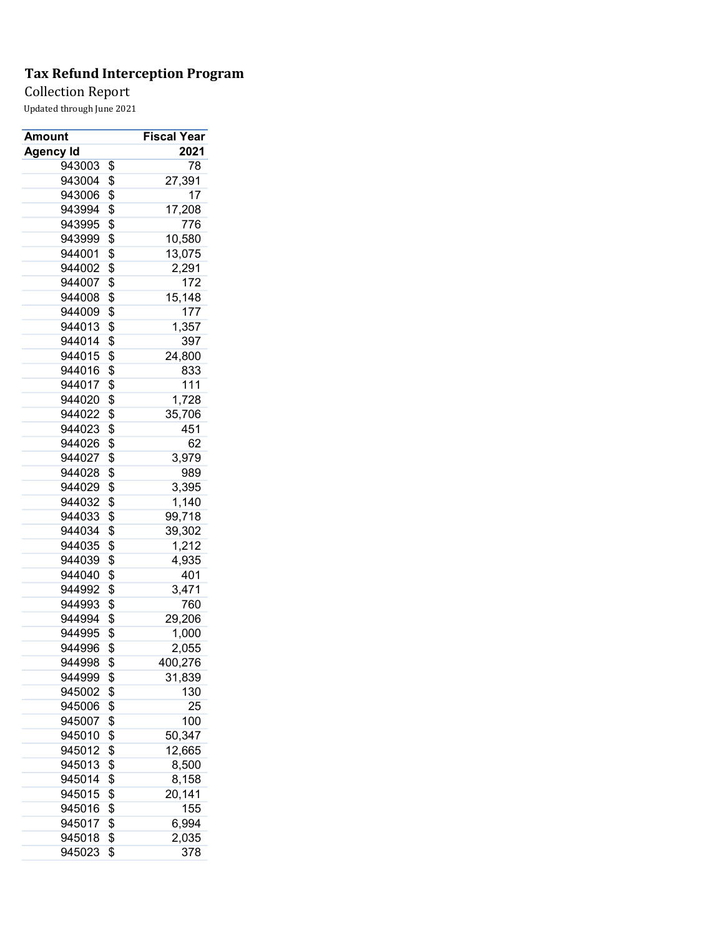Collection Report

| Amount           | <b>Fiscal Year</b> |
|------------------|--------------------|
| <b>Agency Id</b> | 2021               |
| 943003           | \$<br>78           |
| 943004           | \$<br>27,391       |
| 943006           | \$<br>17           |
| 943994           | \$<br>17,208       |
| 943995           | \$<br>776          |
| 943999           | \$<br>10,580       |
| 944001           | \$<br>13,075       |
| 944002           | \$<br>2,291        |
| 944007           | \$<br>172          |
| 944008           | \$<br>15,148       |
| 944009           | \$<br>177          |
| 944013           | \$<br>1,357        |
| 944014           | \$<br>397          |
| 944015           | \$<br>24,800       |
| 944016           | \$<br>833          |
| 944017           | \$<br>111          |
| 944020           | \$<br>1,728        |
| 944022           | \$<br>35,706       |
| 944023           | \$<br>451          |
| 944026           | \$<br>62           |
| 944027           | \$<br>3,979        |
| 944028           | \$<br>989          |
| 944029           | \$<br>3,395        |
| 944032           | \$<br>1,140        |
| 944033           | \$<br>99,718       |
| 944034           | \$<br>39,302       |
| 944035           | \$<br>1,212        |
| 944039           | \$<br>4,935        |
| 944040           | \$<br>401          |
| 944992           | \$<br>3,471        |
| 944993           | \$<br>760          |
| 944994           | \$<br>29,206       |
| 944995           | \$<br>1,000        |
| 944996           | \$<br>2,055        |
| 944998           | \$<br>400,276      |
| 944999           | \$<br>31,839       |
| 945002           | \$<br>130          |
| 945006           | \$<br>25           |
| 945007           | \$<br>100          |
| 945010           | \$<br>50,347       |
| 945012           | \$<br>12,665       |
| 945013           | \$<br>8,500        |
| 945014           | \$<br>8,158        |
| 945015           | \$                 |
|                  | 20,141             |
| 945016           | \$<br>155          |
| 945017           | \$<br>6,994        |
| 945018           | \$<br>2,035        |
| 945023           | \$<br>378          |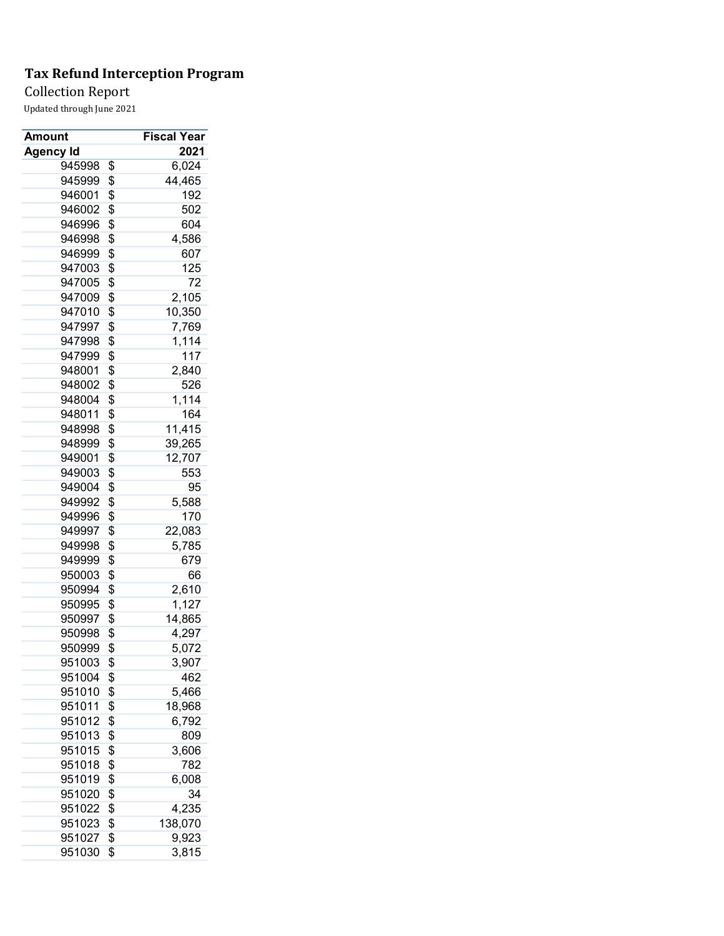## Collection Report

| Amount           | Fiscal Year   |
|------------------|---------------|
| <b>Agency Id</b> | 2021          |
| 945998           | \$<br>6,024   |
| 945999           | \$<br>44,465  |
| 946001           | \$<br>192     |
| 946002           | \$<br>502     |
| 946996           | \$<br>604     |
| 946998           | \$<br>4,586   |
| 946999           | \$<br>607     |
| 947003           | \$<br>125     |
| 947005           | \$<br>72      |
| 947009           | \$<br>2,105   |
| 947010           | \$<br>10,350  |
| 947997           | \$<br>7,769   |
| 947998           | \$<br>1,114   |
| 947999           | \$<br>117     |
| 948001           | \$<br>2,840   |
| 948002           | \$<br>526     |
| 948004           | \$<br>1,114   |
| 948011           | \$<br>164     |
| 948998           | \$<br>11,415  |
| 948999           | \$<br>39,265  |
| 949001           | \$<br>12,707  |
| 949003           | \$<br>553     |
| 949004           | \$<br>95      |
| 949992           | \$<br>5,588   |
| 949996           | \$<br>170     |
| 949997           | \$<br>22,083  |
| 949998           | \$<br>5,785   |
| 949999           | \$<br>679     |
| 950003           | \$<br>66      |
| 950994           | \$<br>2,610   |
| 950995           | \$<br>1,127   |
| 950997           | \$<br>14,865  |
| 950998           | \$<br>4,297   |
| 950999           | \$<br>5,072   |
| 951003           | \$<br>3,907   |
| 951004           | \$<br>462     |
| 951010           | \$<br>5,466   |
| 951011           | \$<br>18,968  |
| 951012           | \$<br>6,792   |
| 951013           | \$<br>809     |
| 951015           | \$<br>3,606   |
| 951018           | \$<br>782     |
| 951019           | \$<br>6,008   |
| 951020           | \$<br>34      |
| 951022           | \$<br>4,235   |
| 951023           | \$<br>138,070 |
| 951027           | \$<br>9,923   |
| 951030           | \$<br>3,815   |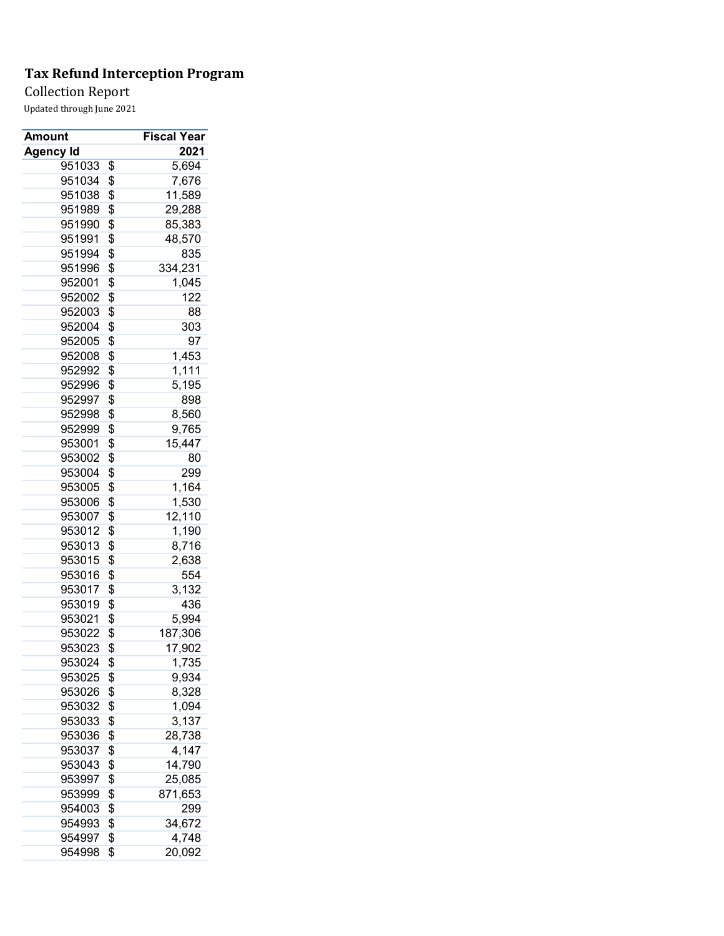Collection Report

| Amount           | <b>Fiscal Year</b> |
|------------------|--------------------|
| <b>Agency Id</b> | 2021               |
| 951033           | \$<br>5,694        |
| 951034           | \$<br>7,676        |
| 951038           | \$<br>11,589       |
| 951989           | \$<br>29,288       |
| 951990           | \$<br>85,383       |
| 951991           | \$<br>48,570       |
| 951994           | \$<br>835          |
| 951996           | \$<br>334,231      |
| 952001           | \$<br>1,045        |
| 952002           | \$<br>122          |
| 952003           | \$<br>88           |
| 952004           | \$<br>303          |
| 952005           | \$<br>97           |
| 952008           | \$<br>1,453        |
| 952992           | \$<br>1,111        |
| 952996           | \$<br>5,195        |
| 952997           | \$<br>898          |
| 952998           | \$<br>8,560        |
| 952999           | \$<br>9,765        |
| 953001           | \$<br>15,447       |
| 953002           | \$<br>80           |
| 953004           | \$<br>299          |
| 953005           | \$<br>1,164        |
| 953006           | \$<br>1,530        |
| 953007           | \$<br>12,110       |
| 953012           | \$<br>1,190        |
| 953013           | \$<br>8,716        |
| 953015           | \$<br>2,638        |
| 953016           | \$<br>554          |
| 953017           |                    |
|                  | \$<br>3,132        |
| 953019           | \$<br>436          |
| 953021           | \$<br>5,994        |
| 953022           | \$<br>187,306      |
| 953023           | \$<br>17,902       |
| 953024           | \$<br>1,735        |
| 953025           | \$<br>9,934        |
| 953026           | \$<br>8,328        |
| 953032           | \$<br>1,094        |
| 953033           | \$<br>3,137        |
| 953036           | \$<br>28,738       |
| 953037           | \$<br>4,147        |
| 953043           | \$<br>14,790       |
| 953997           | \$<br>25,085       |
| 953999           | \$<br>871,653      |
| 954003           | \$<br>299          |
| 954993           | \$<br>34,672       |
| 954997           | \$<br>4,748        |
| 954998           | \$<br>20,092       |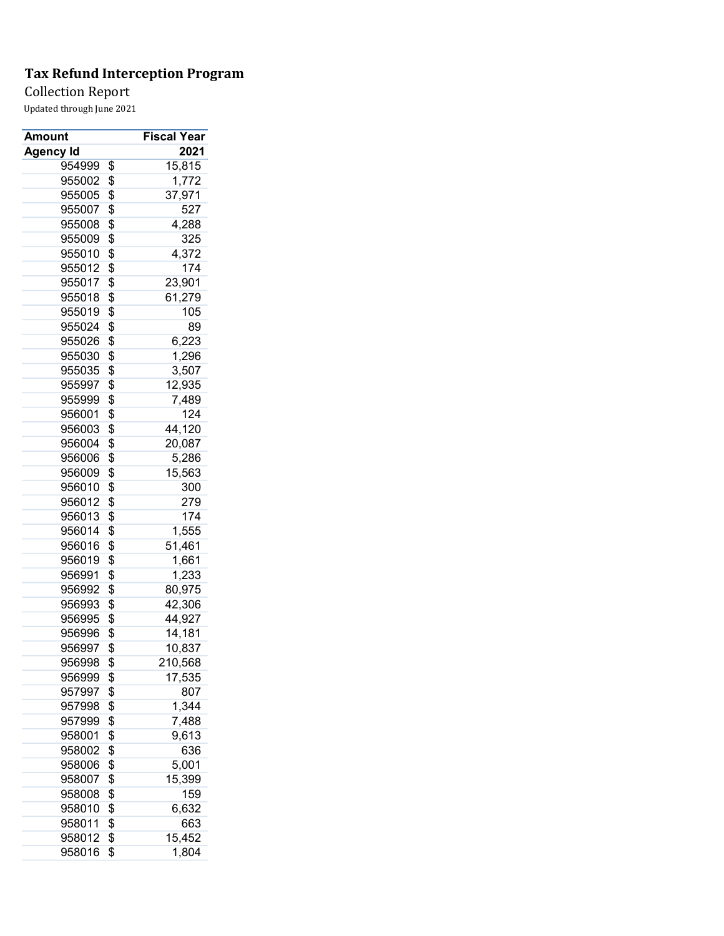Collection Report

| Amount           | <b>Fiscal Year</b> |
|------------------|--------------------|
| <b>Agency Id</b> | 2021               |
| 954999           | \$<br>15,815       |
| 955002           | \$<br>1,772        |
| 955005           | \$<br>37,971       |
| 955007           | \$<br>527          |
| 955008           | \$<br>4,288        |
| 955009           | \$<br>325          |
| 955010           | \$<br>4,372        |
| 955012           | \$<br>174          |
| 955017           | \$<br>23,901       |
| 955018           | \$<br>61,279       |
| 955019           | \$<br>105          |
| 955024           | \$<br>89           |
| 955026           | \$<br>6,223        |
| 955030           | \$<br>1,296        |
| 955035           | \$<br>3,507        |
| 955997           | \$<br>12,935       |
| 955999           | \$<br>7,489        |
| 956001           | \$<br>124          |
| 956003           | \$<br>44,120       |
| 956004           | \$<br>20,087       |
| 956006           | \$<br>5,286        |
| 956009           | \$<br>15,563       |
| 956010           | \$<br>300          |
| 956012           | \$<br>279          |
| 956013           | \$<br>174          |
| 956014           | \$<br>1,555        |
| 956016           | \$<br>51,461       |
| 956019           | \$<br>1,661        |
| 956991           | \$<br>1,233        |
| 956992           | \$<br>80,975       |
| 956993           | \$<br>42,306       |
| 956995           | \$<br>44,927       |
| 956996           | \$<br>14,181       |
| 956997           | \$<br>10,837       |
| 956998           | \$<br>210,568      |
| 956999           | \$<br>17,535       |
| 957997           | \$<br>807          |
| 957998           | \$<br>1,344        |
| 957999           | \$<br>7,488        |
| 958001           | \$<br>9,613        |
| 958002           | \$<br>636          |
| 958006           | \$<br>5,001        |
| 958007           | \$<br>15,399       |
| 958008           | \$<br>159          |
|                  |                    |
| 958010           | \$<br>6,632        |
| 958011           | \$<br>663          |
| 958012           | \$<br>15,452       |
| 958016           | \$<br>1,804        |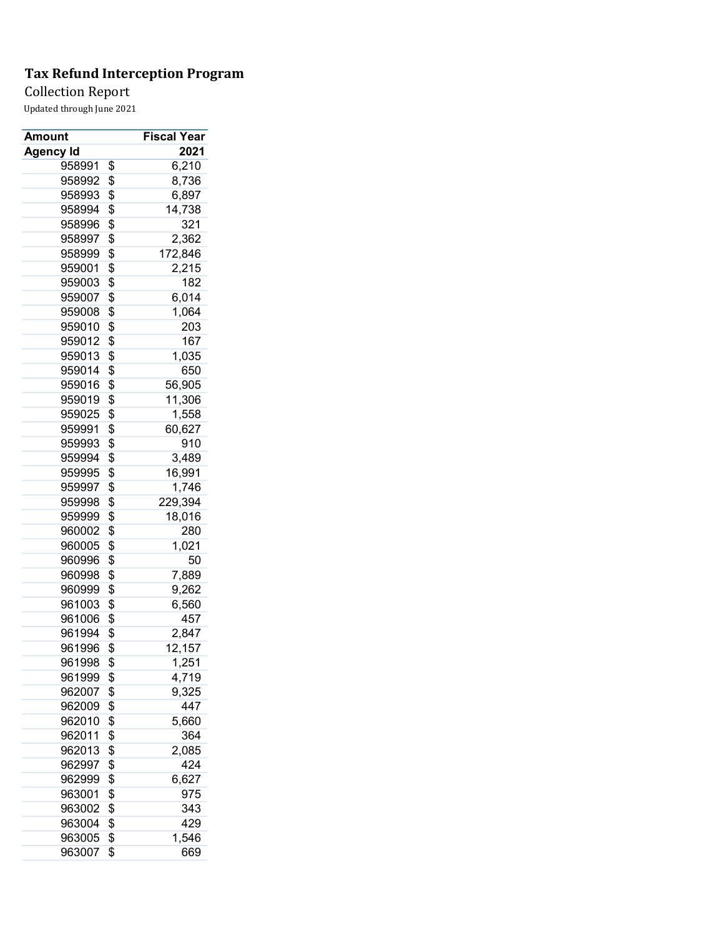## Collection Report

| Amount           | <b>Fiscal Year</b> |
|------------------|--------------------|
| <b>Agency Id</b> | 2021               |
| 958991           | \$<br>6,210        |
| 958992           | \$<br>8,736        |
| 958993           | \$<br>6,897        |
| 958994           | \$<br>14,738       |
| 958996           | \$<br>321          |
| 958997           | \$<br>2,362        |
| 958999           | \$<br>172,846      |
| 959001           | \$<br>2,215        |
| 959003           | \$<br>182          |
| 959007           | \$<br>6,014        |
| 959008           | \$<br>1,064        |
| 959010           | \$<br>203          |
| 959012           | \$<br>167          |
| 959013           | \$<br>1,035        |
| 959014           | \$<br>650          |
| 959016           | \$<br>56,905       |
| 959019           | \$<br>11,306       |
| 959025           | \$<br>1,558        |
| 959991           | \$<br>60,627       |
| 959993           | \$<br>910          |
| 959994           | \$<br>3,489        |
| 959995           | \$<br>16,991       |
| 959997           | \$<br>1,746        |
| 959998           | \$<br>229,394      |
| 959999           | \$<br>18,016       |
| 960002           | \$<br>280          |
| 960005           | \$<br>1,021        |
| 960996           | \$<br>50           |
| 960998           | \$<br>7,889        |
| 960999           | \$<br>9,262        |
| 961003           | \$<br>6,560        |
| 961006           | \$<br>457          |
| 961994           | \$<br>2,847        |
| 961996           | \$<br>12,157       |
| 961998           | \$<br>1,251        |
| 961999           | \$<br>4,719        |
|                  |                    |
| 962007           | \$<br>9,325        |
| 962009           | \$<br>447          |
| 962010           | \$<br>5,660        |
| 962011           | \$<br>364          |
| 962013           | \$<br>2,085        |
| 962997           | \$<br>424          |
| 962999           | \$<br>6,627        |
| 963001           | \$<br>975          |
| 963002           | \$<br>343          |
| 963004           | \$<br>429          |
| 963005           | \$<br>1,546        |
| 963007           | \$<br>669          |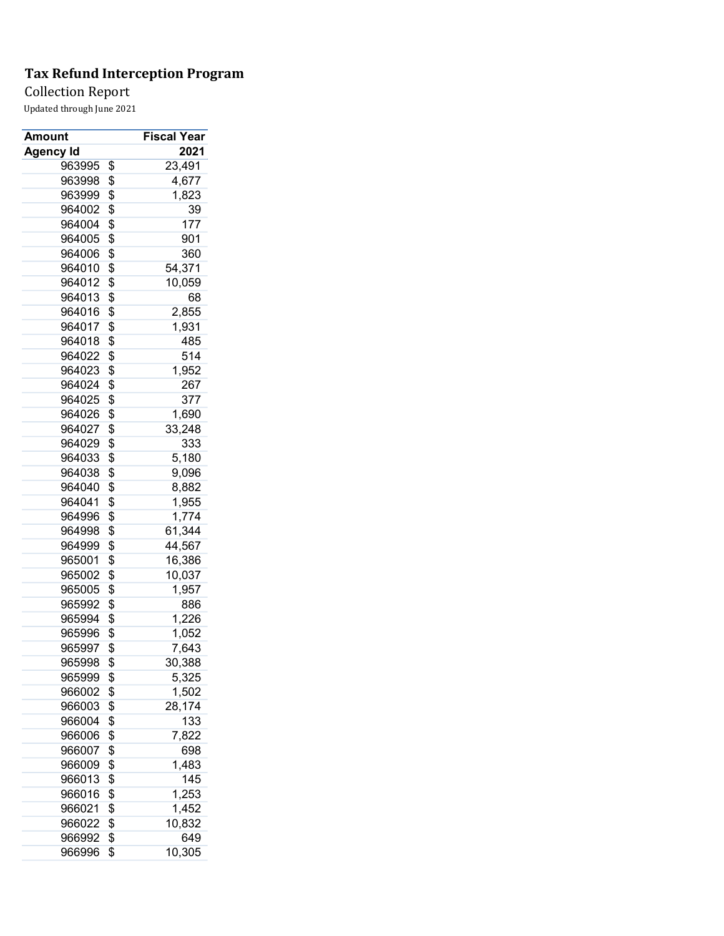Collection Report

| Amount           | <b>Fiscal Year</b> |
|------------------|--------------------|
| <b>Agency Id</b> | 2021               |
| 963995           | \$<br>23,491       |
| 963998           | \$<br>4,677        |
| 963999           | \$<br>1,823        |
| 964002           | \$<br>39           |
| 964004           | \$<br>177          |
| 964005           | \$<br>901          |
| 964006           | \$<br>360          |
| 964010           | \$<br>54,371       |
| 964012           | \$<br>10,059       |
| 964013           | \$<br>68           |
| 964016           | \$<br>2,855        |
| 964017           | \$<br>1,931        |
| 964018           | \$<br>485          |
| 964022           | \$<br>514          |
| 964023           | \$<br>1,952        |
| 964024           | \$<br>267          |
| 964025           | \$<br>377          |
| 964026           | \$<br>1,690        |
| 964027           | \$<br>33,248       |
| 964029           | \$<br>333          |
| 964033           | \$<br>5,180        |
| 964038           | \$<br>9,096        |
| 964040           | \$<br>8,882        |
| 964041           | \$<br>1,955        |
| 964996           | \$<br>1,774        |
| 964998           | \$<br>61,344       |
| 964999           | \$<br>44,567       |
| 965001           | \$                 |
|                  | 16,386             |
| 965002           | \$<br>10,037       |
| 965005           | \$<br>1,957        |
| 965992           | \$<br>886          |
| 965994           | \$<br>1,226        |
| 965996           | \$<br>1,052        |
| 965997           | \$<br>7,643        |
| 965998           | \$<br>30,388       |
| 965999           | \$<br>5,325        |
| 966002           | \$<br>1,502        |
| 966003           | \$<br>28,174       |
| 966004           | \$<br>133          |
| 966006           | \$<br>7,822        |
| 966007           | \$<br>698          |
| 966009           | \$<br>1,483        |
| 966013           | \$<br>145          |
| 966016           | \$<br>1,253        |
| 966021           | \$<br>1,452        |
| 966022           | \$<br>10,832       |
| 966992           | \$<br>649          |
| 966996           | \$<br>10,305       |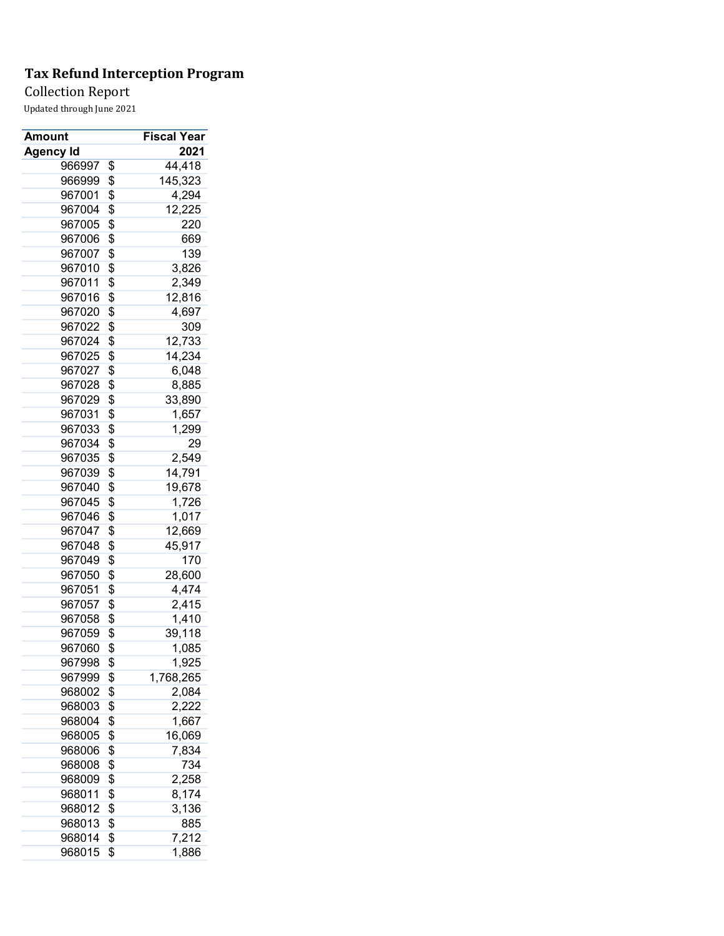Collection Report

| Amount           | <b>Fiscal Year</b> |
|------------------|--------------------|
| <b>Agency Id</b> | 2021               |
| 966997           | \$<br>44,418       |
| 966999           | \$<br>145,323      |
| 967001           | \$<br>4,294        |
| 967004           | \$<br>12,225       |
| 967005           | \$<br>220          |
| 967006           | \$<br>669          |
| 967007           | \$<br>139          |
| 967010           | \$<br>3,826        |
| 967011           | \$<br>2,349        |
| 967016           | \$<br>12,816       |
| 967020           | \$<br>4,697        |
| 967022           | \$<br>309          |
| 967024           |                    |
|                  | \$<br>12,733       |
| 967025           | \$<br>14,234       |
| 967027           | \$<br>6,048        |
| 967028           | \$<br>8,885        |
| 967029           | \$<br>33,890       |
| 967031           | \$<br>1,657        |
| 967033           | \$<br>1,299        |
| 967034           | \$<br>29           |
| 967035           | \$<br>2,549        |
| 967039           | \$<br>14,791       |
| 967040           | \$<br>19,678       |
| 967045           | \$<br>1,726        |
| 967046           | \$<br>1,017        |
| 967047           | \$<br>12,669       |
| 967048           | \$<br>45,917       |
| 967049           | \$<br>170          |
| 967050           | \$<br>28,600       |
| 967051           | \$<br>4,474        |
| 967057           | \$<br>2,415        |
| 967058           | \$<br>1,410        |
| 967059           | \$<br>39,118       |
| 967060           | \$<br>1,085        |
| 967998           | \$<br>1,925        |
| 967999           | \$<br>1,768,265    |
| 968002           | \$<br>2,084        |
| 968003           | \$<br>2,222        |
| 968004           | \$<br>1,667        |
| 968005           | \$<br>16,069       |
| 968006           | \$<br>7,834        |
| 968008           | \$<br>734          |
| 968009           | \$<br>2,258        |
| 968011           | \$<br>8,174        |
| 968012           | \$<br>3,136        |
| 968013           | \$<br>885          |
|                  | \$<br>7,212        |
| 968014           |                    |
| 968015           | \$<br>1,886        |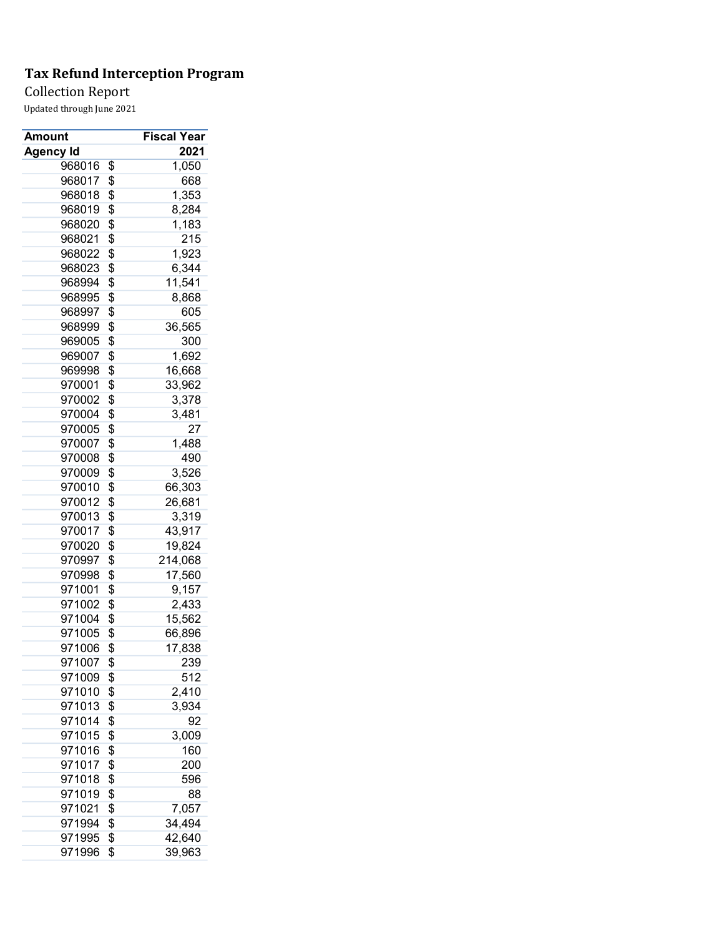Collection Report

| Amount           | <b>Fiscal Year</b> |
|------------------|--------------------|
| <b>Agency Id</b> | 2021               |
| 968016           | \$<br>1,050        |
| 968017           | \$<br>668          |
| 968018           | \$<br>1,353        |
| 968019           | \$<br>8,284        |
| 968020           | \$<br>1,183        |
| 968021           | \$<br>215          |
| 968022           | \$<br>1,923        |
| 968023           | \$<br>6,344        |
| 968994           | \$<br>11,541       |
| 968995           | \$<br>8,868        |
| 968997           | \$<br>605          |
| 968999           | \$<br>36,565       |
| 969005           | \$<br>300          |
| 969007           | \$<br>1,692        |
| 969998           | \$<br>16,668       |
| 970001           | \$<br>33,962       |
| 970002           | \$<br>3,378        |
| 970004           | \$<br>3,481        |
| 970005           | \$<br>27           |
| 970007           | \$<br>1,488        |
| 970008           | \$<br>490          |
| 970009           | \$<br>3,526        |
| 970010           | \$<br>66,303       |
| 970012           | \$<br>26,681       |
| 970013           | \$<br>3,319        |
| 970017           | \$<br>43,917       |
| 970020           | \$<br>19,824       |
| 970997           | \$<br>214,068      |
| 970998           | \$<br>17,560       |
| 971001           | \$<br>9,157        |
| 971002           | \$<br>2,433        |
| 971004           | \$<br>15,562       |
| 971005           | \$<br>66,896       |
| 971006           | \$<br>17,838       |
| 971007           | \$<br>239          |
| 971009           | \$<br>512          |
| 971010           | \$<br>2,410        |
|                  |                    |
| 971013           | \$<br>3,934        |
| 971014           | \$<br>92           |
| 971015           | \$<br>3,009        |
| 971016           | \$<br>160          |
| 971017           | \$<br>200          |
| 971018           | \$<br>596          |
| 971019           | \$<br>88           |
| 971021           | \$<br>7,057        |
| 971994           | \$<br>34,494       |
| 971995           | \$<br>42,640       |
| 971996           | \$<br>39,963       |